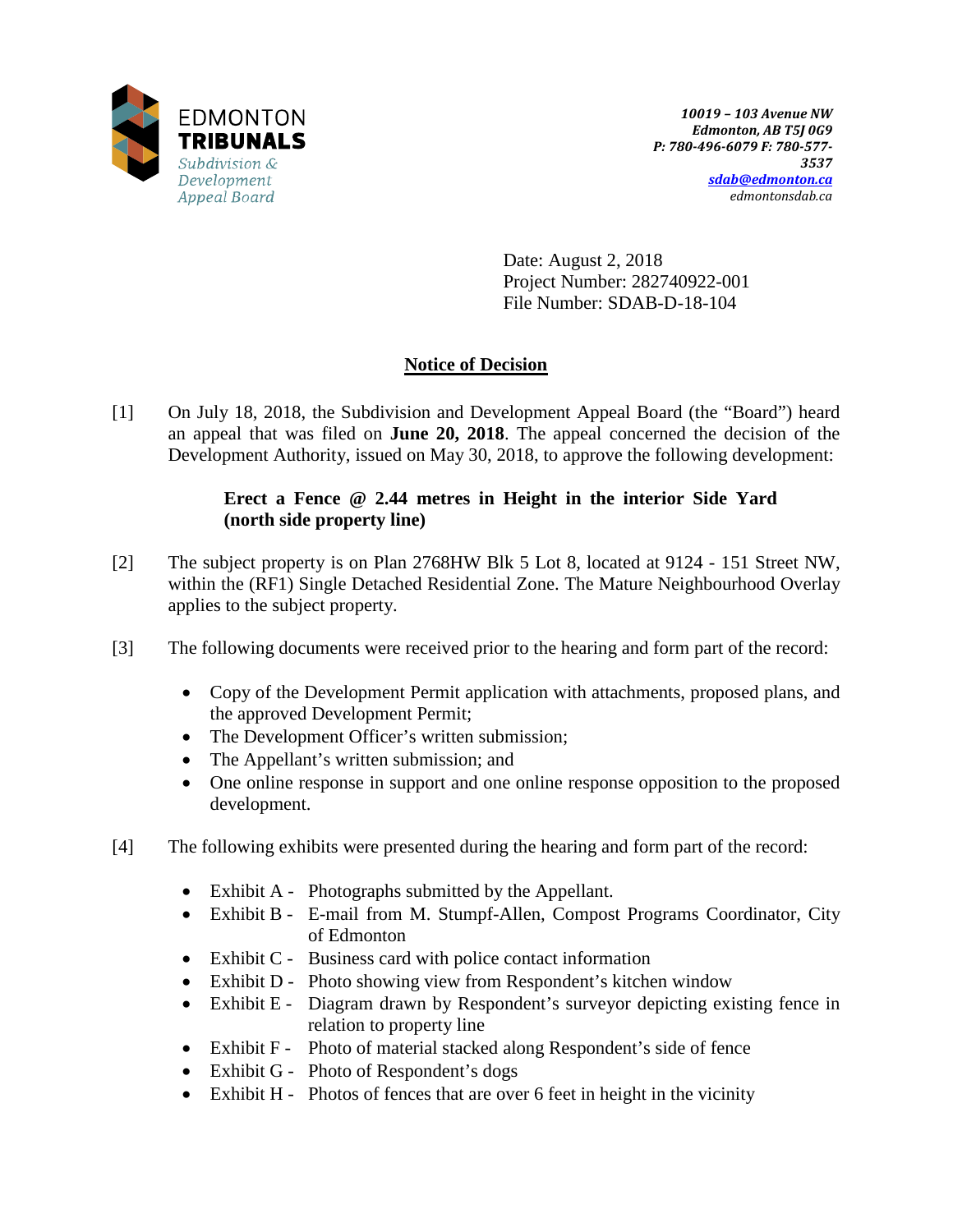

Date: August 2, 2018 Project Number: 282740922-001 File Number: SDAB-D-18-104

# **Notice of Decision**

[1] On July 18, 2018, the Subdivision and Development Appeal Board (the "Board") heard an appeal that was filed on **June 20, 2018**. The appeal concerned the decision of the Development Authority, issued on May 30, 2018, to approve the following development:

# **Erect a Fence @ 2.44 metres in Height in the interior Side Yard (north side property line)**

- [2] The subject property is on Plan 2768HW Blk 5 Lot 8, located at 9124 151 Street NW, within the (RF1) Single Detached Residential Zone. The Mature Neighbourhood Overlay applies to the subject property.
- [3] The following documents were received prior to the hearing and form part of the record:
	- Copy of the Development Permit application with attachments, proposed plans, and the approved Development Permit;
	- The Development Officer's written submission;
	- The Appellant's written submission; and
	- One online response in support and one online response opposition to the proposed development.
- [4] The following exhibits were presented during the hearing and form part of the record:
	- Exhibit A Photographs submitted by the Appellant.
	- Exhibit B E-mail from M. Stumpf-Allen, Compost Programs Coordinator, City of Edmonton
	- Exhibit C Business card with police contact information
	- Exhibit D Photo showing view from Respondent's kitchen window
	- Exhibit E Diagram drawn by Respondent's surveyor depicting existing fence in relation to property line
	- Exhibit F Photo of material stacked along Respondent's side of fence
	- Exhibit G Photo of Respondent's dogs
	- Exhibit H Photos of fences that are over 6 feet in height in the vicinity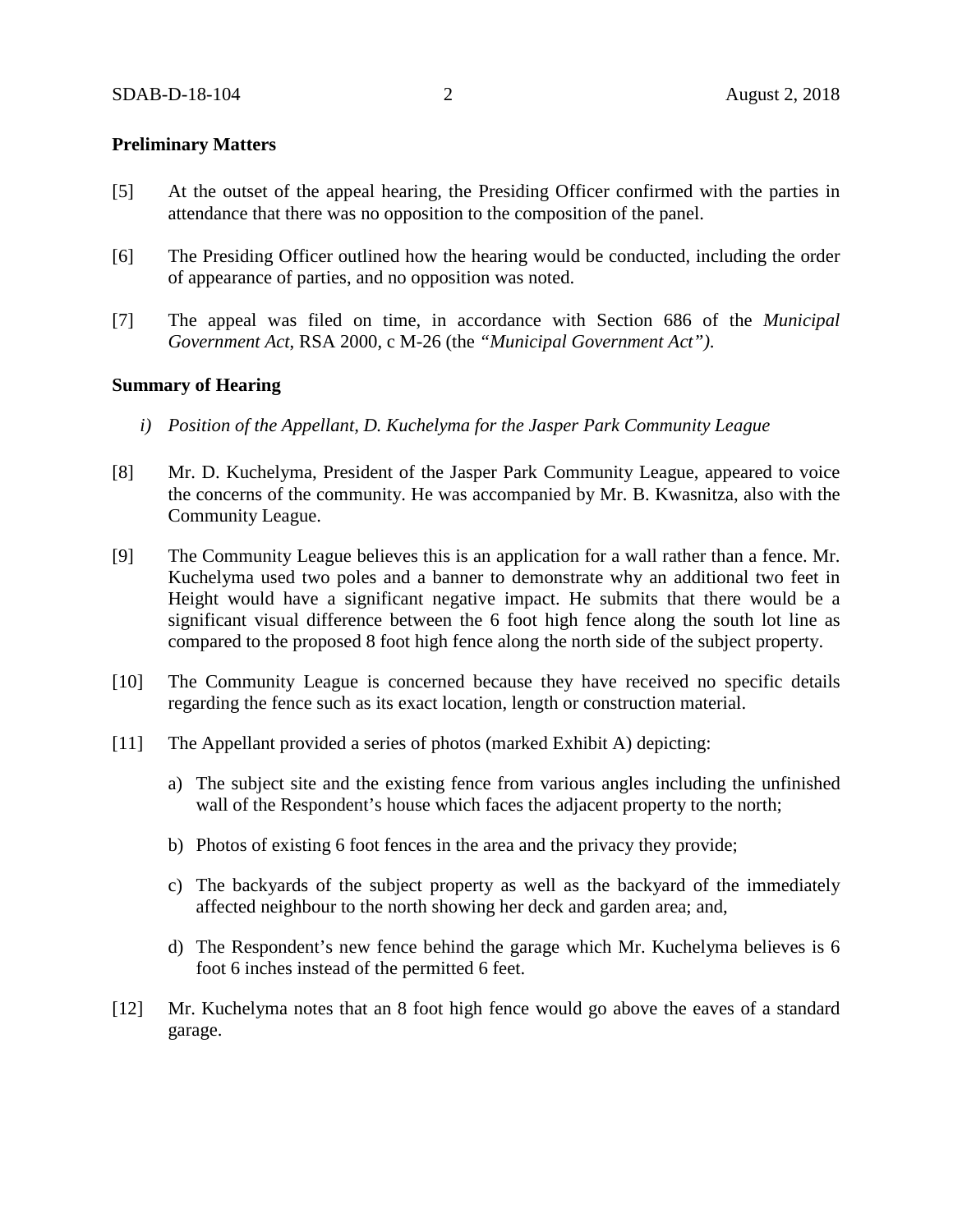### **Preliminary Matters**

- [5] At the outset of the appeal hearing, the Presiding Officer confirmed with the parties in attendance that there was no opposition to the composition of the panel.
- [6] The Presiding Officer outlined how the hearing would be conducted, including the order of appearance of parties, and no opposition was noted.
- [7] The appeal was filed on time, in accordance with Section 686 of the *Municipal Government Act*, RSA 2000, c M-26 (the *"Municipal Government Act")*.

### **Summary of Hearing**

- *i) Position of the Appellant, D. Kuchelyma for the Jasper Park Community League*
- [8] Mr. D. Kuchelyma, President of the Jasper Park Community League, appeared to voice the concerns of the community. He was accompanied by Mr. B. Kwasnitza, also with the Community League.
- [9] The Community League believes this is an application for a wall rather than a fence. Mr. Kuchelyma used two poles and a banner to demonstrate why an additional two feet in Height would have a significant negative impact. He submits that there would be a significant visual difference between the 6 foot high fence along the south lot line as compared to the proposed 8 foot high fence along the north side of the subject property.
- [10] The Community League is concerned because they have received no specific details regarding the fence such as its exact location, length or construction material.
- [11] The Appellant provided a series of photos (marked Exhibit A) depicting:
	- a) The subject site and the existing fence from various angles including the unfinished wall of the Respondent's house which faces the adjacent property to the north;
	- b) Photos of existing 6 foot fences in the area and the privacy they provide;
	- c) The backyards of the subject property as well as the backyard of the immediately affected neighbour to the north showing her deck and garden area; and,
	- d) The Respondent's new fence behind the garage which Mr. Kuchelyma believes is 6 foot 6 inches instead of the permitted 6 feet.
- [12] Mr. Kuchelyma notes that an 8 foot high fence would go above the eaves of a standard garage.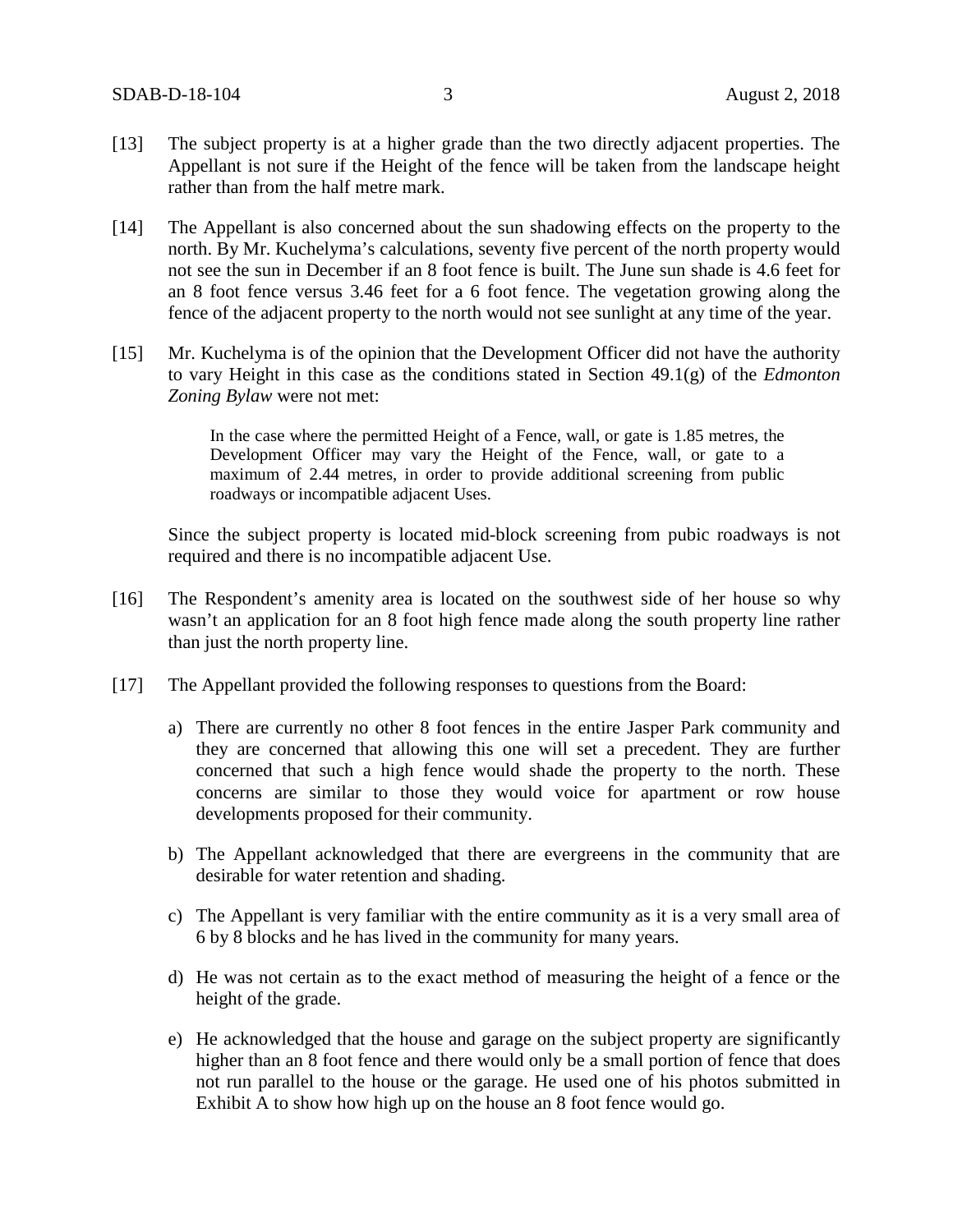- [13] The subject property is at a higher grade than the two directly adjacent properties. The Appellant is not sure if the Height of the fence will be taken from the landscape height rather than from the half metre mark.
- [14] The Appellant is also concerned about the sun shadowing effects on the property to the north. By Mr. Kuchelyma's calculations, seventy five percent of the north property would not see the sun in December if an 8 foot fence is built. The June sun shade is 4.6 feet for an 8 foot fence versus 3.46 feet for a 6 foot fence. The vegetation growing along the fence of the adjacent property to the north would not see sunlight at any time of the year.
- [15] Mr. Kuchelyma is of the opinion that the Development Officer did not have the authority to vary Height in this case as the conditions stated in Section 49.1(g) of the *Edmonton Zoning Bylaw* were not met:

In the case where the permitted Height of a Fence, wall, or gate is 1.85 metres, the Development Officer may vary the Height of the Fence, wall, or gate to a maximum of 2.44 metres, in order to provide additional screening from public roadways or incompatible adjacent Uses.

Since the subject property is located mid-block screening from pubic roadways is not required and there is no incompatible adjacent Use.

- [16] The Respondent's amenity area is located on the southwest side of her house so why wasn't an application for an 8 foot high fence made along the south property line rather than just the north property line.
- [17] The Appellant provided the following responses to questions from the Board:
	- a) There are currently no other 8 foot fences in the entire Jasper Park community and they are concerned that allowing this one will set a precedent. They are further concerned that such a high fence would shade the property to the north. These concerns are similar to those they would voice for apartment or row house developments proposed for their community.
	- b) The Appellant acknowledged that there are evergreens in the community that are desirable for water retention and shading.
	- c) The Appellant is very familiar with the entire community as it is a very small area of 6 by 8 blocks and he has lived in the community for many years.
	- d) He was not certain as to the exact method of measuring the height of a fence or the height of the grade.
	- e) He acknowledged that the house and garage on the subject property are significantly higher than an 8 foot fence and there would only be a small portion of fence that does not run parallel to the house or the garage. He used one of his photos submitted in Exhibit A to show how high up on the house an 8 foot fence would go.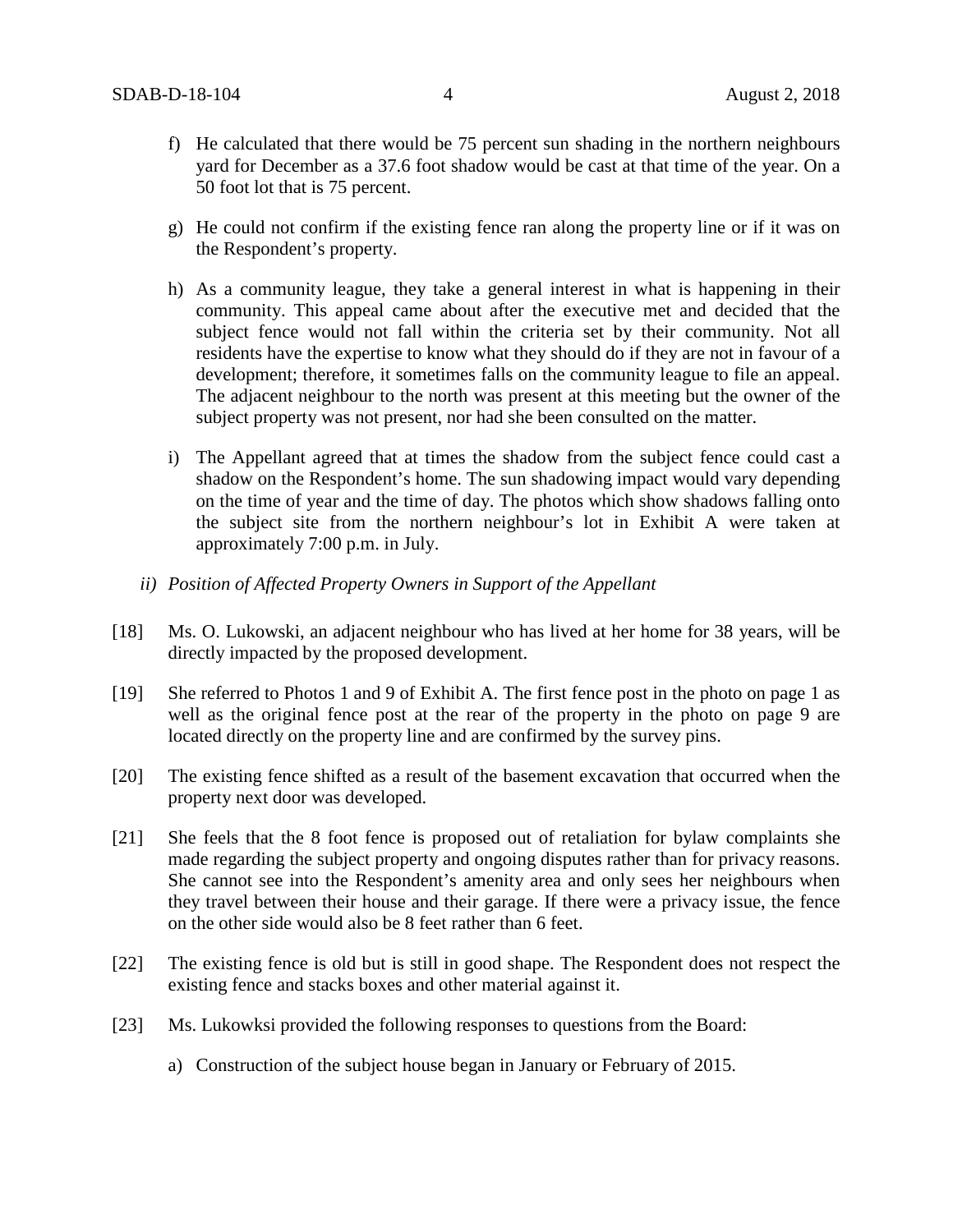- f) He calculated that there would be 75 percent sun shading in the northern neighbours yard for December as a 37.6 foot shadow would be cast at that time of the year. On a 50 foot lot that is 75 percent.
- g) He could not confirm if the existing fence ran along the property line or if it was on the Respondent's property.
- h) As a community league, they take a general interest in what is happening in their community. This appeal came about after the executive met and decided that the subject fence would not fall within the criteria set by their community. Not all residents have the expertise to know what they should do if they are not in favour of a development; therefore, it sometimes falls on the community league to file an appeal. The adjacent neighbour to the north was present at this meeting but the owner of the subject property was not present, nor had she been consulted on the matter.
- i) The Appellant agreed that at times the shadow from the subject fence could cast a shadow on the Respondent's home. The sun shadowing impact would vary depending on the time of year and the time of day. The photos which show shadows falling onto the subject site from the northern neighbour's lot in Exhibit A were taken at approximately 7:00 p.m. in July.
- *ii) Position of Affected Property Owners in Support of the Appellant*
- [18] Ms. O. Lukowski, an adjacent neighbour who has lived at her home for 38 years, will be directly impacted by the proposed development.
- [19] She referred to Photos 1 and 9 of Exhibit A. The first fence post in the photo on page 1 as well as the original fence post at the rear of the property in the photo on page 9 are located directly on the property line and are confirmed by the survey pins.
- [20] The existing fence shifted as a result of the basement excavation that occurred when the property next door was developed.
- [21] She feels that the 8 foot fence is proposed out of retaliation for bylaw complaints she made regarding the subject property and ongoing disputes rather than for privacy reasons. She cannot see into the Respondent's amenity area and only sees her neighbours when they travel between their house and their garage. If there were a privacy issue, the fence on the other side would also be 8 feet rather than 6 feet.
- [22] The existing fence is old but is still in good shape. The Respondent does not respect the existing fence and stacks boxes and other material against it.
- [23] Ms. Lukowksi provided the following responses to questions from the Board:
	- a) Construction of the subject house began in January or February of 2015.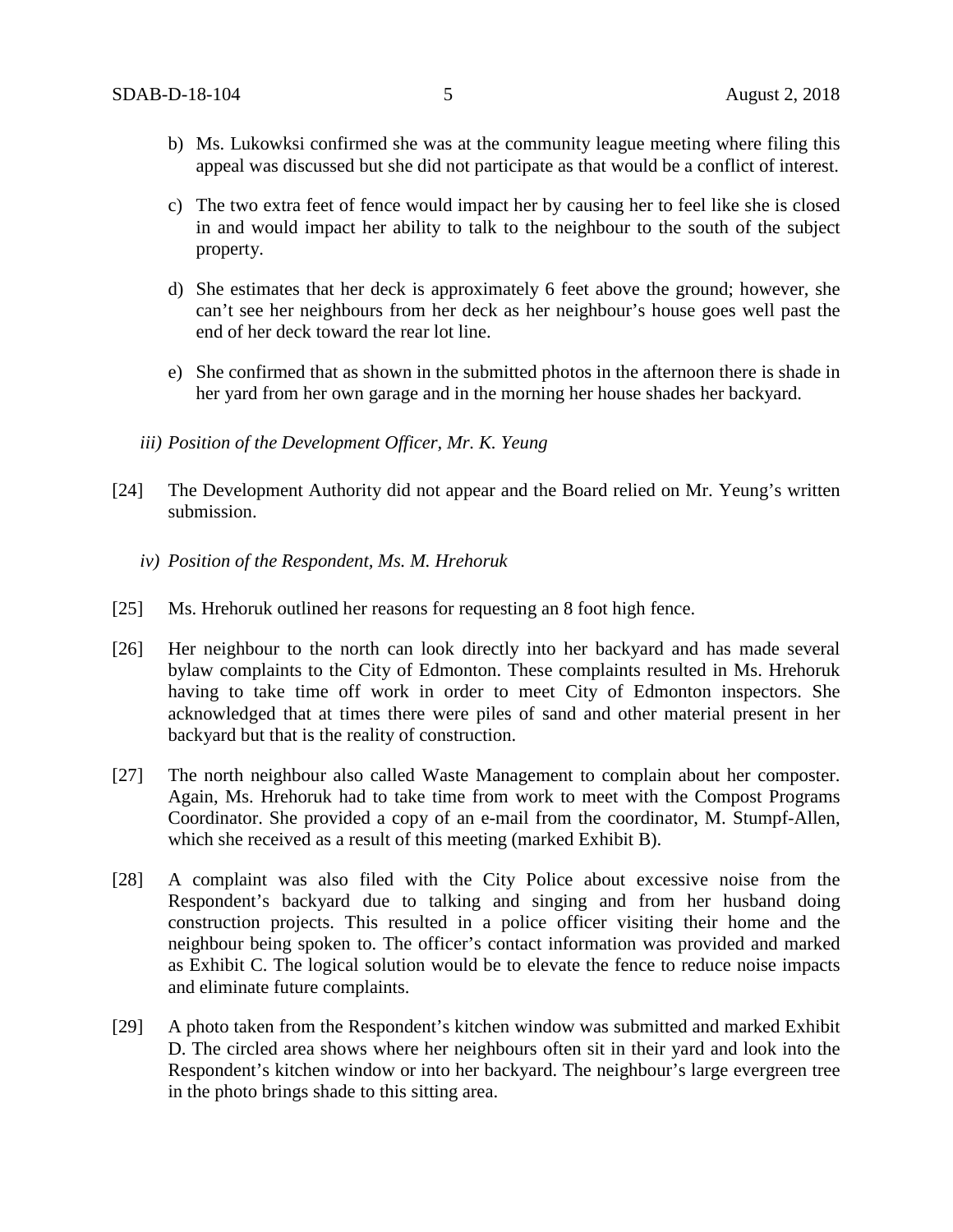- b) Ms. Lukowksi confirmed she was at the community league meeting where filing this appeal was discussed but she did not participate as that would be a conflict of interest.
- c) The two extra feet of fence would impact her by causing her to feel like she is closed in and would impact her ability to talk to the neighbour to the south of the subject property.
- d) She estimates that her deck is approximately 6 feet above the ground; however, she can't see her neighbours from her deck as her neighbour's house goes well past the end of her deck toward the rear lot line.
- e) She confirmed that as shown in the submitted photos in the afternoon there is shade in her yard from her own garage and in the morning her house shades her backyard.
- *iii) Position of the Development Officer, Mr. K. Yeung*
- [24] The Development Authority did not appear and the Board relied on Mr. Yeung's written submission.
	- *iv) Position of the Respondent, Ms. M. Hrehoruk*
- [25] Ms. Hrehoruk outlined her reasons for requesting an 8 foot high fence.
- [26] Her neighbour to the north can look directly into her backyard and has made several bylaw complaints to the City of Edmonton. These complaints resulted in Ms. Hrehoruk having to take time off work in order to meet City of Edmonton inspectors. She acknowledged that at times there were piles of sand and other material present in her backyard but that is the reality of construction.
- [27] The north neighbour also called Waste Management to complain about her composter. Again, Ms. Hrehoruk had to take time from work to meet with the Compost Programs Coordinator. She provided a copy of an e-mail from the coordinator, M. Stumpf-Allen, which she received as a result of this meeting (marked Exhibit B).
- [28] A complaint was also filed with the City Police about excessive noise from the Respondent's backyard due to talking and singing and from her husband doing construction projects. This resulted in a police officer visiting their home and the neighbour being spoken to. The officer's contact information was provided and marked as Exhibit C. The logical solution would be to elevate the fence to reduce noise impacts and eliminate future complaints.
- [29] A photo taken from the Respondent's kitchen window was submitted and marked Exhibit D. The circled area shows where her neighbours often sit in their yard and look into the Respondent's kitchen window or into her backyard. The neighbour's large evergreen tree in the photo brings shade to this sitting area.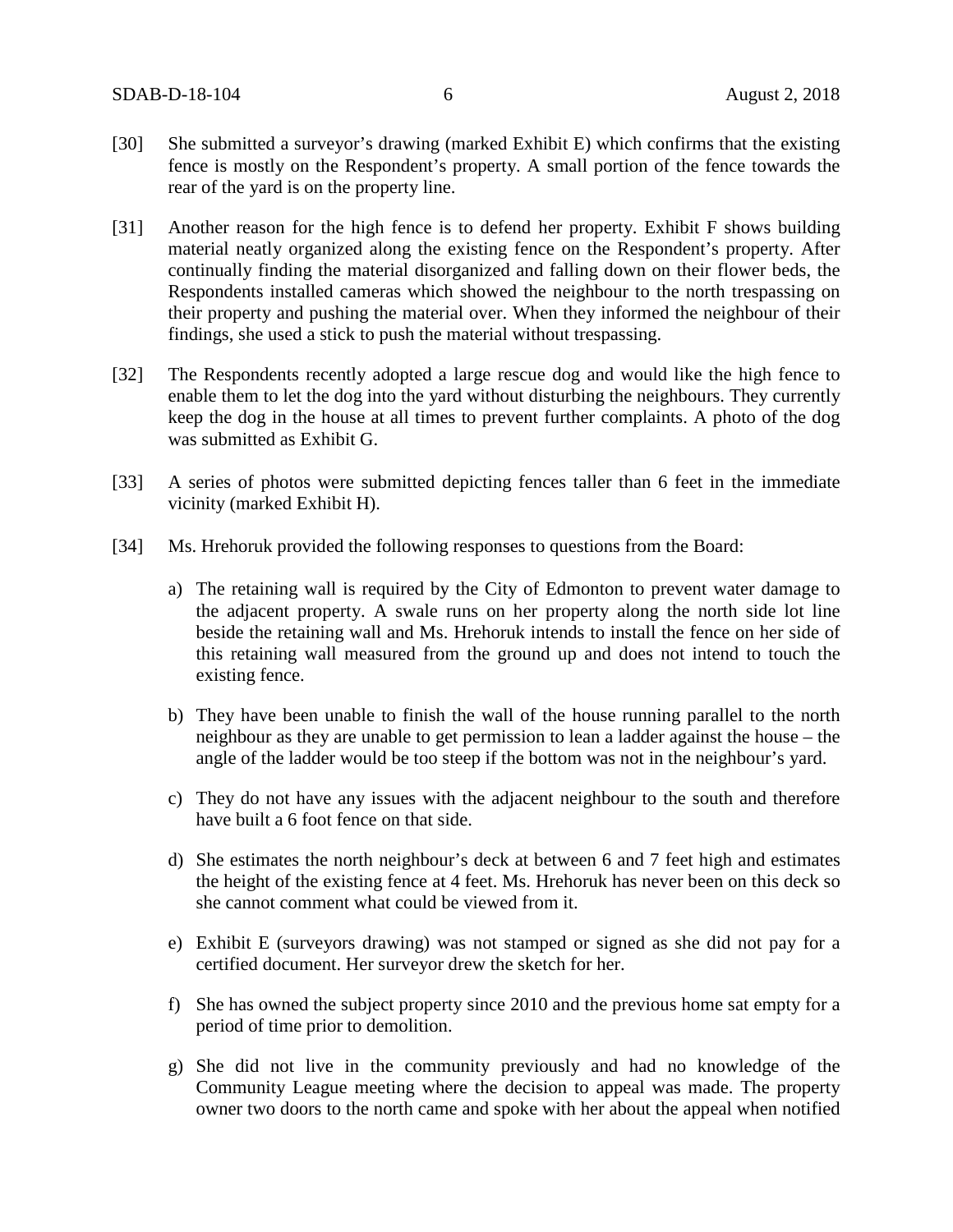- [30] She submitted a surveyor's drawing (marked Exhibit E) which confirms that the existing fence is mostly on the Respondent's property. A small portion of the fence towards the rear of the yard is on the property line.
- [31] Another reason for the high fence is to defend her property. Exhibit F shows building material neatly organized along the existing fence on the Respondent's property. After continually finding the material disorganized and falling down on their flower beds, the Respondents installed cameras which showed the neighbour to the north trespassing on their property and pushing the material over. When they informed the neighbour of their findings, she used a stick to push the material without trespassing.
- [32] The Respondents recently adopted a large rescue dog and would like the high fence to enable them to let the dog into the yard without disturbing the neighbours. They currently keep the dog in the house at all times to prevent further complaints. A photo of the dog was submitted as Exhibit G.
- [33] A series of photos were submitted depicting fences taller than 6 feet in the immediate vicinity (marked Exhibit H).
- [34] Ms. Hrehoruk provided the following responses to questions from the Board:
	- a) The retaining wall is required by the City of Edmonton to prevent water damage to the adjacent property. A swale runs on her property along the north side lot line beside the retaining wall and Ms. Hrehoruk intends to install the fence on her side of this retaining wall measured from the ground up and does not intend to touch the existing fence.
	- b) They have been unable to finish the wall of the house running parallel to the north neighbour as they are unable to get permission to lean a ladder against the house – the angle of the ladder would be too steep if the bottom was not in the neighbour's yard.
	- c) They do not have any issues with the adjacent neighbour to the south and therefore have built a 6 foot fence on that side.
	- d) She estimates the north neighbour's deck at between 6 and 7 feet high and estimates the height of the existing fence at 4 feet. Ms. Hrehoruk has never been on this deck so she cannot comment what could be viewed from it.
	- e) Exhibit E (surveyors drawing) was not stamped or signed as she did not pay for a certified document. Her surveyor drew the sketch for her.
	- f) She has owned the subject property since 2010 and the previous home sat empty for a period of time prior to demolition.
	- g) She did not live in the community previously and had no knowledge of the Community League meeting where the decision to appeal was made. The property owner two doors to the north came and spoke with her about the appeal when notified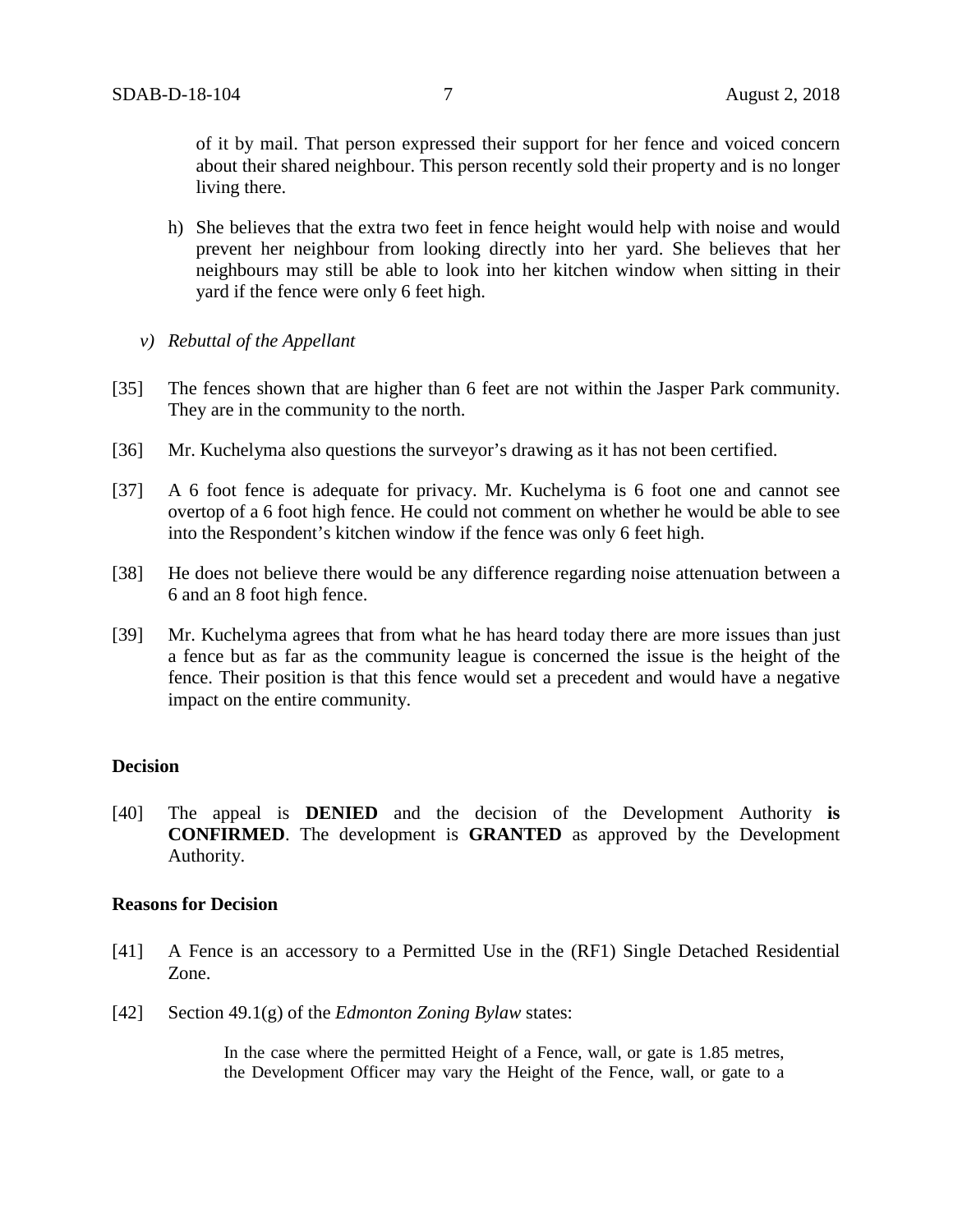of it by mail. That person expressed their support for her fence and voiced concern about their shared neighbour. This person recently sold their property and is no longer living there.

- h) She believes that the extra two feet in fence height would help with noise and would prevent her neighbour from looking directly into her yard. She believes that her neighbours may still be able to look into her kitchen window when sitting in their yard if the fence were only 6 feet high.
- *v) Rebuttal of the Appellant*
- [35] The fences shown that are higher than 6 feet are not within the Jasper Park community. They are in the community to the north.
- [36] Mr. Kuchelyma also questions the surveyor's drawing as it has not been certified.
- [37] A 6 foot fence is adequate for privacy. Mr. Kuchelyma is 6 foot one and cannot see overtop of a 6 foot high fence. He could not comment on whether he would be able to see into the Respondent's kitchen window if the fence was only 6 feet high.
- [38] He does not believe there would be any difference regarding noise attenuation between a 6 and an 8 foot high fence.
- [39] Mr. Kuchelyma agrees that from what he has heard today there are more issues than just a fence but as far as the community league is concerned the issue is the height of the fence. Their position is that this fence would set a precedent and would have a negative impact on the entire community.

### **Decision**

[40] The appeal is **DENIED** and the decision of the Development Authority **is CONFIRMED**. The development is **GRANTED** as approved by the Development Authority.

#### **Reasons for Decision**

- [41] A Fence is an accessory to a Permitted Use in the (RF1) Single Detached Residential Zone.
- [42] Section 49.1(g) of the *Edmonton Zoning Bylaw* states:

In the case where the permitted Height of a Fence, wall, or gate is 1.85 metres, the Development Officer may vary the Height of the Fence, wall, or gate to a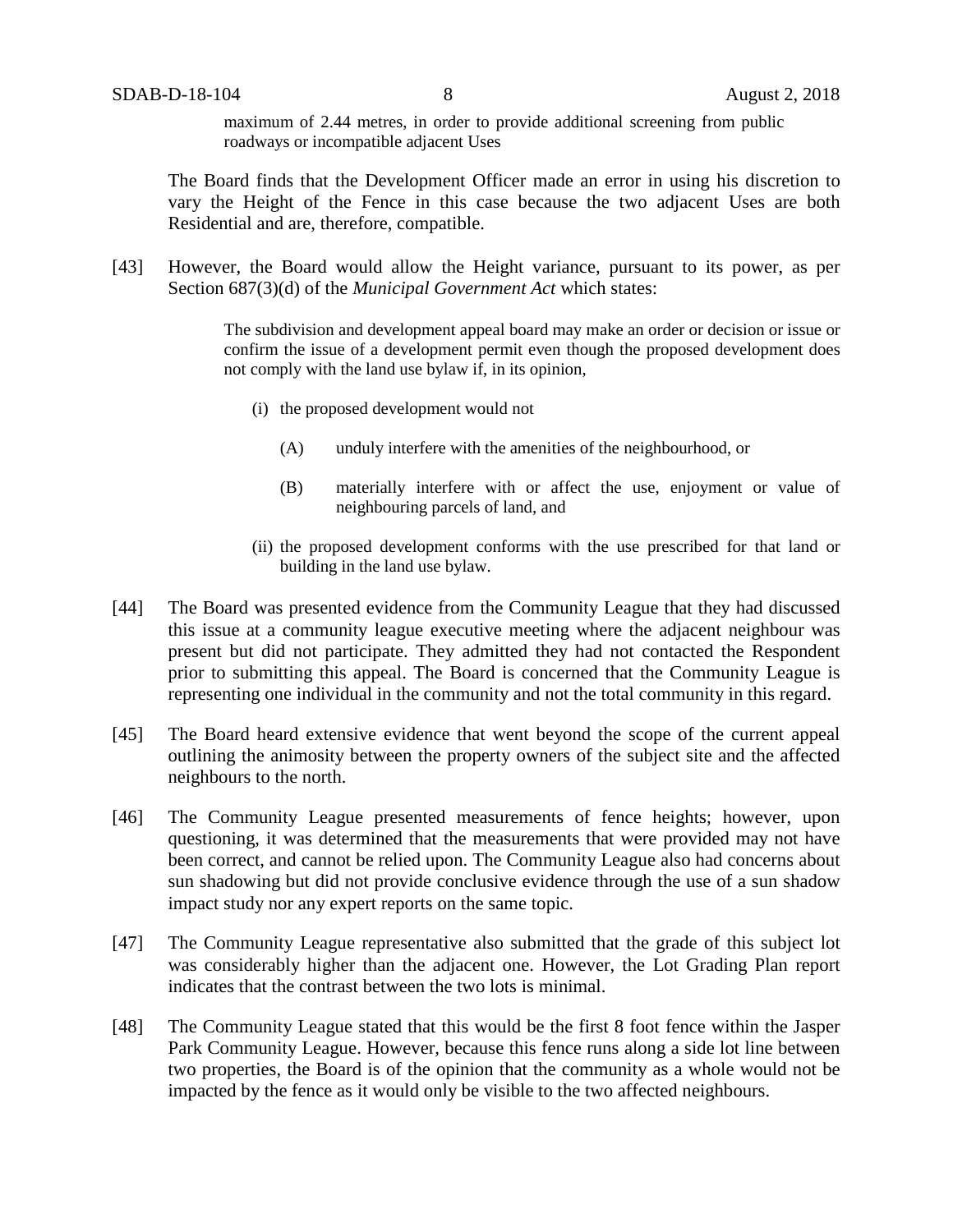maximum of 2.44 metres, in order to provide additional screening from public roadways or incompatible adjacent Uses

The Board finds that the Development Officer made an error in using his discretion to vary the Height of the Fence in this case because the two adjacent Uses are both Residential and are, therefore, compatible.

[43] However, the Board would allow the Height variance, pursuant to its power, as per Section 687(3)(d) of the *Municipal Government Act* which states:

> The subdivision and development appeal board may make an order or decision or issue or confirm the issue of a development permit even though the proposed development does not comply with the land use bylaw if, in its opinion,

- (i) the proposed development would not
	- (A) unduly interfere with the amenities of the neighbourhood, or
	- (B) materially interfere with or affect the use, enjoyment or value of neighbouring parcels of land, and
- (ii) the proposed development conforms with the use prescribed for that land or building in the land use bylaw.
- [44] The Board was presented evidence from the Community League that they had discussed this issue at a community league executive meeting where the adjacent neighbour was present but did not participate. They admitted they had not contacted the Respondent prior to submitting this appeal. The Board is concerned that the Community League is representing one individual in the community and not the total community in this regard.
- [45] The Board heard extensive evidence that went beyond the scope of the current appeal outlining the animosity between the property owners of the subject site and the affected neighbours to the north.
- [46] The Community League presented measurements of fence heights; however, upon questioning, it was determined that the measurements that were provided may not have been correct, and cannot be relied upon. The Community League also had concerns about sun shadowing but did not provide conclusive evidence through the use of a sun shadow impact study nor any expert reports on the same topic.
- [47] The Community League representative also submitted that the grade of this subject lot was considerably higher than the adjacent one. However, the Lot Grading Plan report indicates that the contrast between the two lots is minimal.
- [48] The Community League stated that this would be the first 8 foot fence within the Jasper Park Community League. However, because this fence runs along a side lot line between two properties, the Board is of the opinion that the community as a whole would not be impacted by the fence as it would only be visible to the two affected neighbours.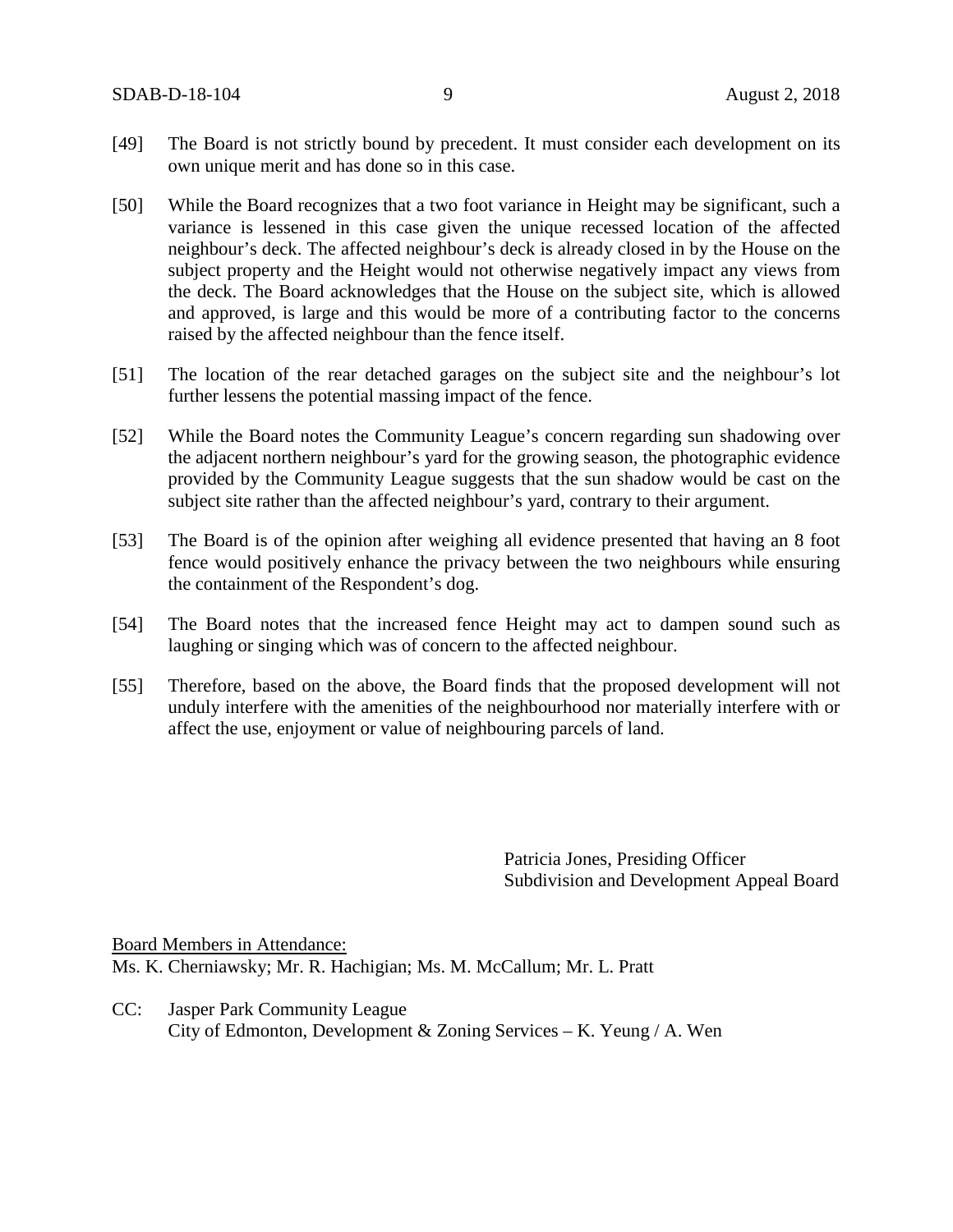- [49] The Board is not strictly bound by precedent. It must consider each development on its own unique merit and has done so in this case.
- [50] While the Board recognizes that a two foot variance in Height may be significant, such a variance is lessened in this case given the unique recessed location of the affected neighbour's deck. The affected neighbour's deck is already closed in by the House on the subject property and the Height would not otherwise negatively impact any views from the deck. The Board acknowledges that the House on the subject site, which is allowed and approved, is large and this would be more of a contributing factor to the concerns raised by the affected neighbour than the fence itself.
- [51] The location of the rear detached garages on the subject site and the neighbour's lot further lessens the potential massing impact of the fence.
- [52] While the Board notes the Community League's concern regarding sun shadowing over the adjacent northern neighbour's yard for the growing season, the photographic evidence provided by the Community League suggests that the sun shadow would be cast on the subiect site rather than the affected neighbour's yard, contrary to their argument.
- [53] The Board is of the opinion after weighing all evidence presented that having an 8 foot fence would positively enhance the privacy between the two neighbours while ensuring the containment of the Respondent's dog.
- [54] The Board notes that the increased fence Height may act to dampen sound such as laughing or singing which was of concern to the affected neighbour.
- [55] Therefore, based on the above, the Board finds that the proposed development will not unduly interfere with the amenities of the neighbourhood nor materially interfere with or affect the use, enjoyment or value of neighbouring parcels of land.

Patricia Jones, Presiding Officer Subdivision and Development Appeal Board

Board Members in Attendance: Ms. K. Cherniawsky; Mr. R. Hachigian; Ms. M. McCallum; Mr. L. Pratt

CC: Jasper Park Community League City of Edmonton, Development & Zoning Services – K. Yeung / A. Wen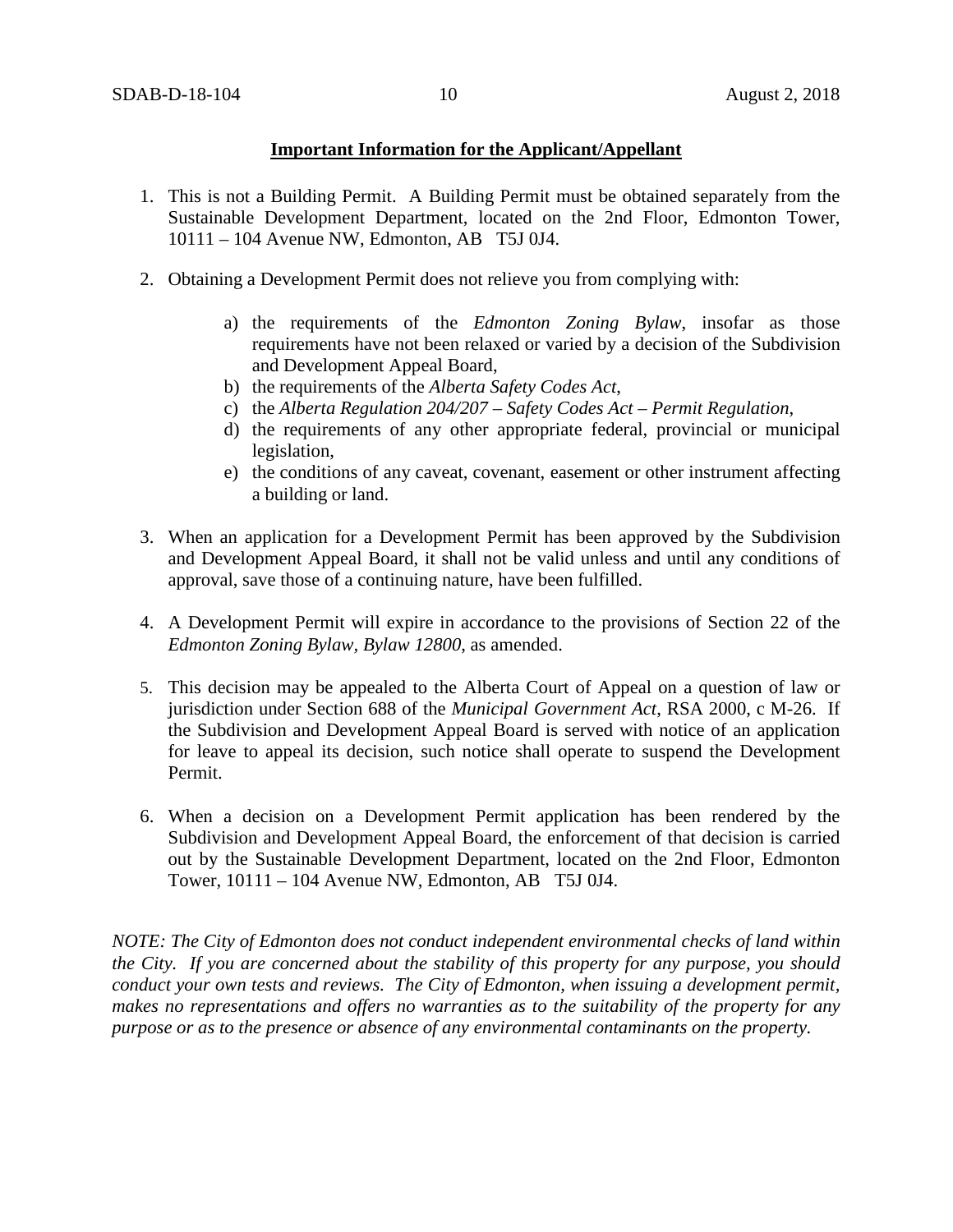### **Important Information for the Applicant/Appellant**

- 1. This is not a Building Permit. A Building Permit must be obtained separately from the Sustainable Development Department, located on the 2nd Floor, Edmonton Tower, 10111 – 104 Avenue NW, Edmonton, AB T5J 0J4.
- 2. Obtaining a Development Permit does not relieve you from complying with:
	- a) the requirements of the *Edmonton Zoning Bylaw*, insofar as those requirements have not been relaxed or varied by a decision of the Subdivision and Development Appeal Board,
	- b) the requirements of the *Alberta Safety Codes Act*,
	- c) the *Alberta Regulation 204/207 – Safety Codes Act – Permit Regulation*,
	- d) the requirements of any other appropriate federal, provincial or municipal legislation,
	- e) the conditions of any caveat, covenant, easement or other instrument affecting a building or land.
- 3. When an application for a Development Permit has been approved by the Subdivision and Development Appeal Board, it shall not be valid unless and until any conditions of approval, save those of a continuing nature, have been fulfilled.
- 4. A Development Permit will expire in accordance to the provisions of Section 22 of the *Edmonton Zoning Bylaw, Bylaw 12800*, as amended.
- 5. This decision may be appealed to the Alberta Court of Appeal on a question of law or jurisdiction under Section 688 of the *Municipal Government Act*, RSA 2000, c M-26. If the Subdivision and Development Appeal Board is served with notice of an application for leave to appeal its decision, such notice shall operate to suspend the Development Permit.
- 6. When a decision on a Development Permit application has been rendered by the Subdivision and Development Appeal Board, the enforcement of that decision is carried out by the Sustainable Development Department, located on the 2nd Floor, Edmonton Tower, 10111 – 104 Avenue NW, Edmonton, AB T5J 0J4.

*NOTE: The City of Edmonton does not conduct independent environmental checks of land within the City. If you are concerned about the stability of this property for any purpose, you should conduct your own tests and reviews. The City of Edmonton, when issuing a development permit, makes no representations and offers no warranties as to the suitability of the property for any purpose or as to the presence or absence of any environmental contaminants on the property.*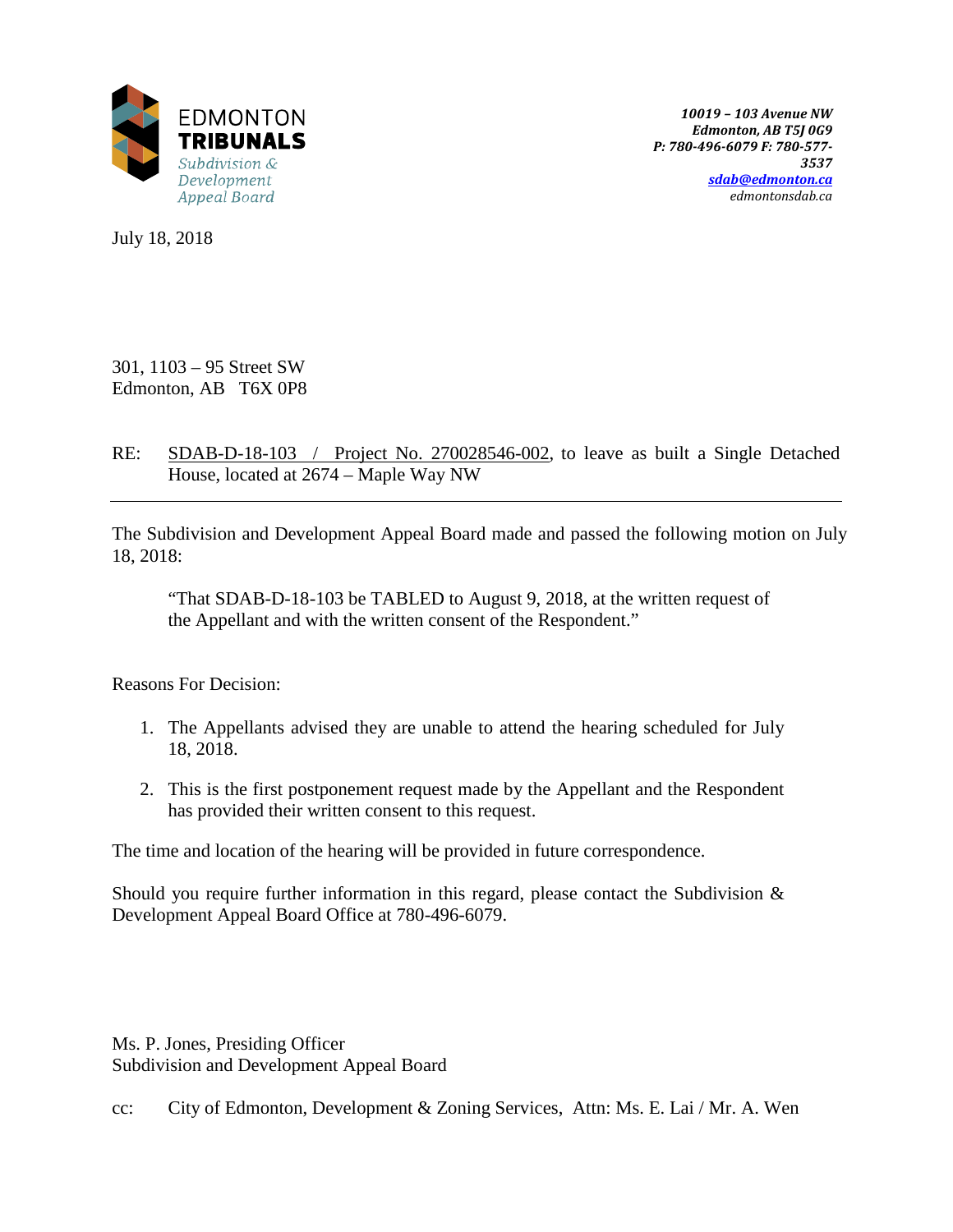

*10019 – 103 Avenue NW Edmonton, AB T5J 0G9 P: 780-496-6079 F: 780-577- 3537 [sdab@edmonton.ca](mailto:sdab@edmonton.ca) edmontonsdab.ca*

July 18, 2018

301, 1103 – 95 Street SW Edmonton, AB T6X 0P8

RE: SDAB-D-18-103 / Project No. 270028546-002, to leave as built a Single Detached House, located at 2674 – Maple Way NW

The Subdivision and Development Appeal Board made and passed the following motion on July 18, 2018:

"That SDAB-D-18-103 be TABLED to August 9, 2018, at the written request of the Appellant and with the written consent of the Respondent."

Reasons For Decision:

- 1. The Appellants advised they are unable to attend the hearing scheduled for July 18, 2018.
- 2. This is the first postponement request made by the Appellant and the Respondent has provided their written consent to this request.

The time and location of the hearing will be provided in future correspondence.

Should you require further information in this regard, please contact the Subdivision  $\&$ Development Appeal Board Office at 780-496-6079.

Ms. P. Jones, Presiding Officer Subdivision and Development Appeal Board

cc: City of Edmonton, Development & Zoning Services, Attn: Ms. E. Lai / Mr. A. Wen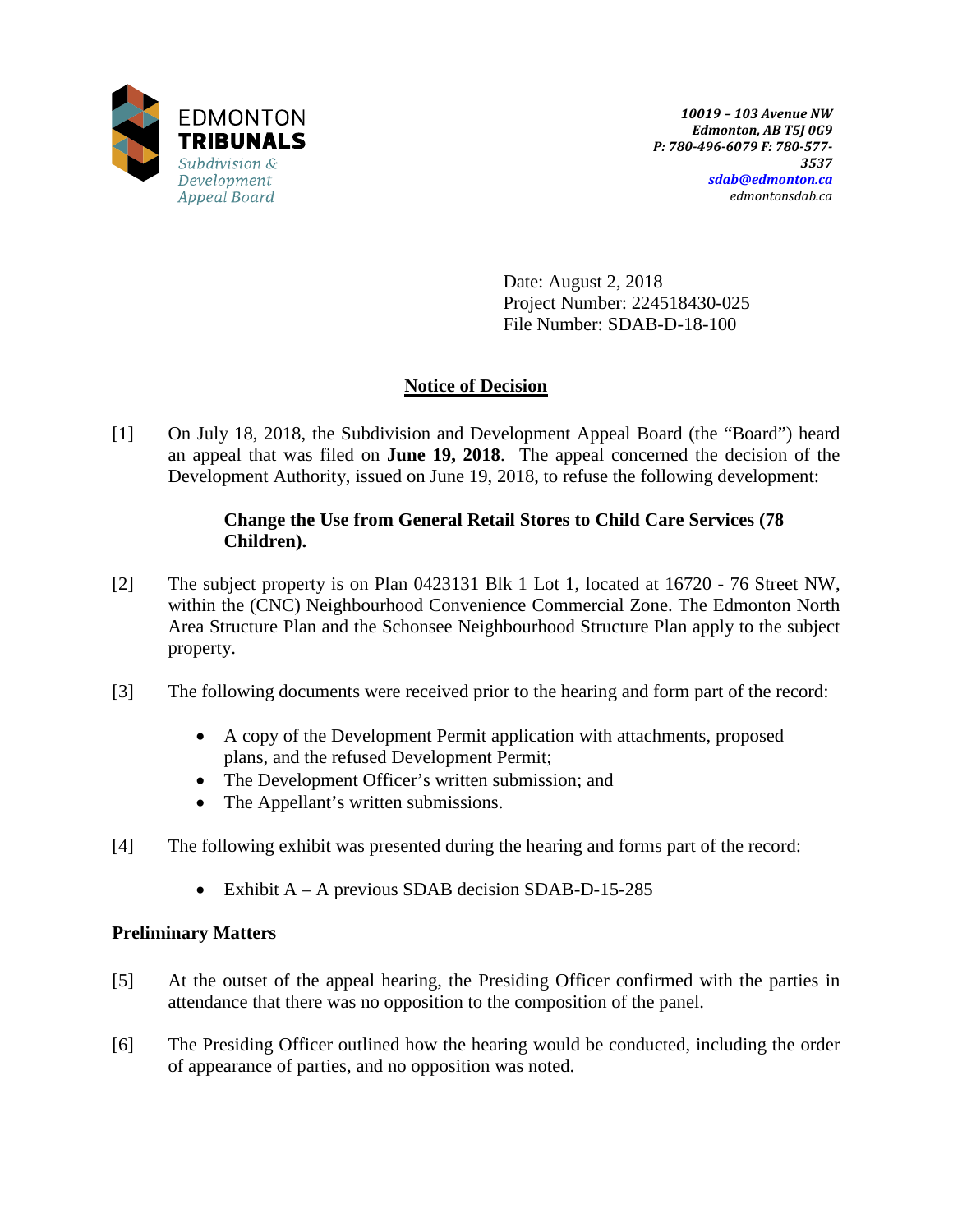

Date: August 2, 2018 Project Number: 224518430-025 File Number: SDAB-D-18-100

# **Notice of Decision**

[1] On July 18, 2018, the Subdivision and Development Appeal Board (the "Board") heard an appeal that was filed on **June 19, 2018**. The appeal concerned the decision of the Development Authority, issued on June 19, 2018, to refuse the following development:

### **Change the Use from General Retail Stores to Child Care Services (78 Children).**

- [2] The subject property is on Plan 0423131 Blk 1 Lot 1, located at 16720 76 Street NW, within the (CNC) Neighbourhood Convenience Commercial Zone. The Edmonton North Area Structure Plan and the Schonsee Neighbourhood Structure Plan apply to the subject property.
- [3] The following documents were received prior to the hearing and form part of the record:
	- A copy of the Development Permit application with attachments, proposed plans, and the refused Development Permit;
	- The Development Officer's written submission; and
	- The Appellant's written submissions.
- [4] The following exhibit was presented during the hearing and forms part of the record:
	- Exhibit A A previous SDAB decision SDAB-D-15-285

## **Preliminary Matters**

- [5] At the outset of the appeal hearing, the Presiding Officer confirmed with the parties in attendance that there was no opposition to the composition of the panel.
- [6] The Presiding Officer outlined how the hearing would be conducted, including the order of appearance of parties, and no opposition was noted.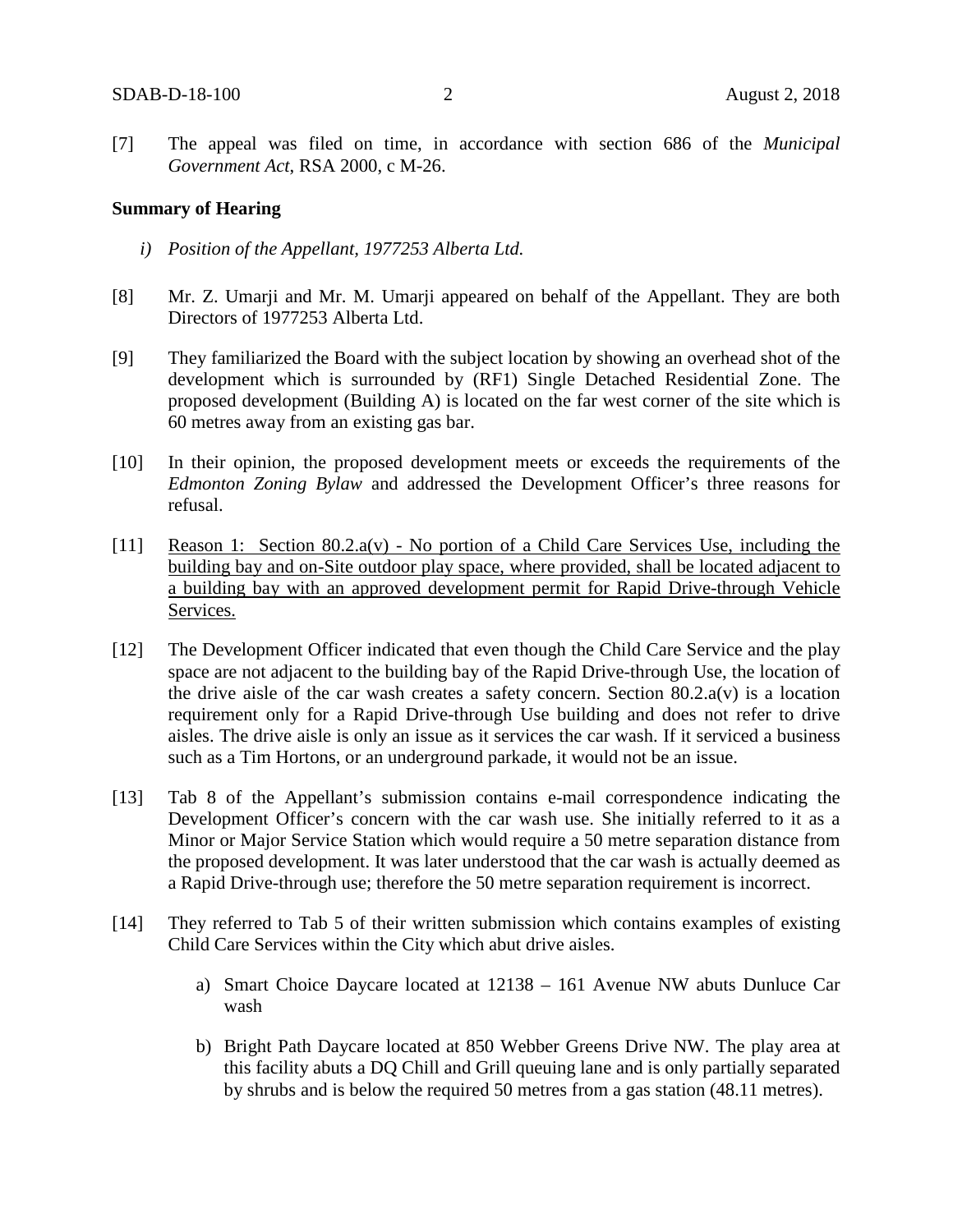[7] The appeal was filed on time, in accordance with section 686 of the *Municipal Government Act*, RSA 2000, c M-26.

#### **Summary of Hearing**

- *i) Position of the Appellant, 1977253 Alberta Ltd.*
- [8] Mr. Z. Umarji and Mr. M. Umarji appeared on behalf of the Appellant. They are both Directors of 1977253 Alberta Ltd.
- [9] They familiarized the Board with the subject location by showing an overhead shot of the development which is surrounded by (RF1) Single Detached Residential Zone. The proposed development (Building A) is located on the far west corner of the site which is 60 metres away from an existing gas bar.
- [10] In their opinion, the proposed development meets or exceeds the requirements of the *Edmonton Zoning Bylaw* and addressed the Development Officer's three reasons for refusal.
- [11] Reason 1: Section 80.2.a(v) No portion of a Child Care Services Use, including the building bay and on-Site outdoor play space, where provided, shall be located adjacent to a building bay with an approved development permit for Rapid Drive-through Vehicle Services.
- [12] The Development Officer indicated that even though the Child Care Service and the play space are not adjacent to the building bay of the Rapid Drive-through Use, the location of the drive aisle of the car wash creates a safety concern. Section  $80.2.a(v)$  is a location requirement only for a Rapid Drive-through Use building and does not refer to drive aisles. The drive aisle is only an issue as it services the car wash. If it serviced a business such as a Tim Hortons, or an underground parkade, it would not be an issue.
- [13] Tab 8 of the Appellant's submission contains e-mail correspondence indicating the Development Officer's concern with the car wash use. She initially referred to it as a Minor or Major Service Station which would require a 50 metre separation distance from the proposed development. It was later understood that the car wash is actually deemed as a Rapid Drive-through use; therefore the 50 metre separation requirement is incorrect.
- [14] They referred to Tab 5 of their written submission which contains examples of existing Child Care Services within the City which abut drive aisles.
	- a) Smart Choice Daycare located at 12138 161 Avenue NW abuts Dunluce Car wash
	- b) Bright Path Daycare located at 850 Webber Greens Drive NW. The play area at this facility abuts a DQ Chill and Grill queuing lane and is only partially separated by shrubs and is below the required 50 metres from a gas station (48.11 metres).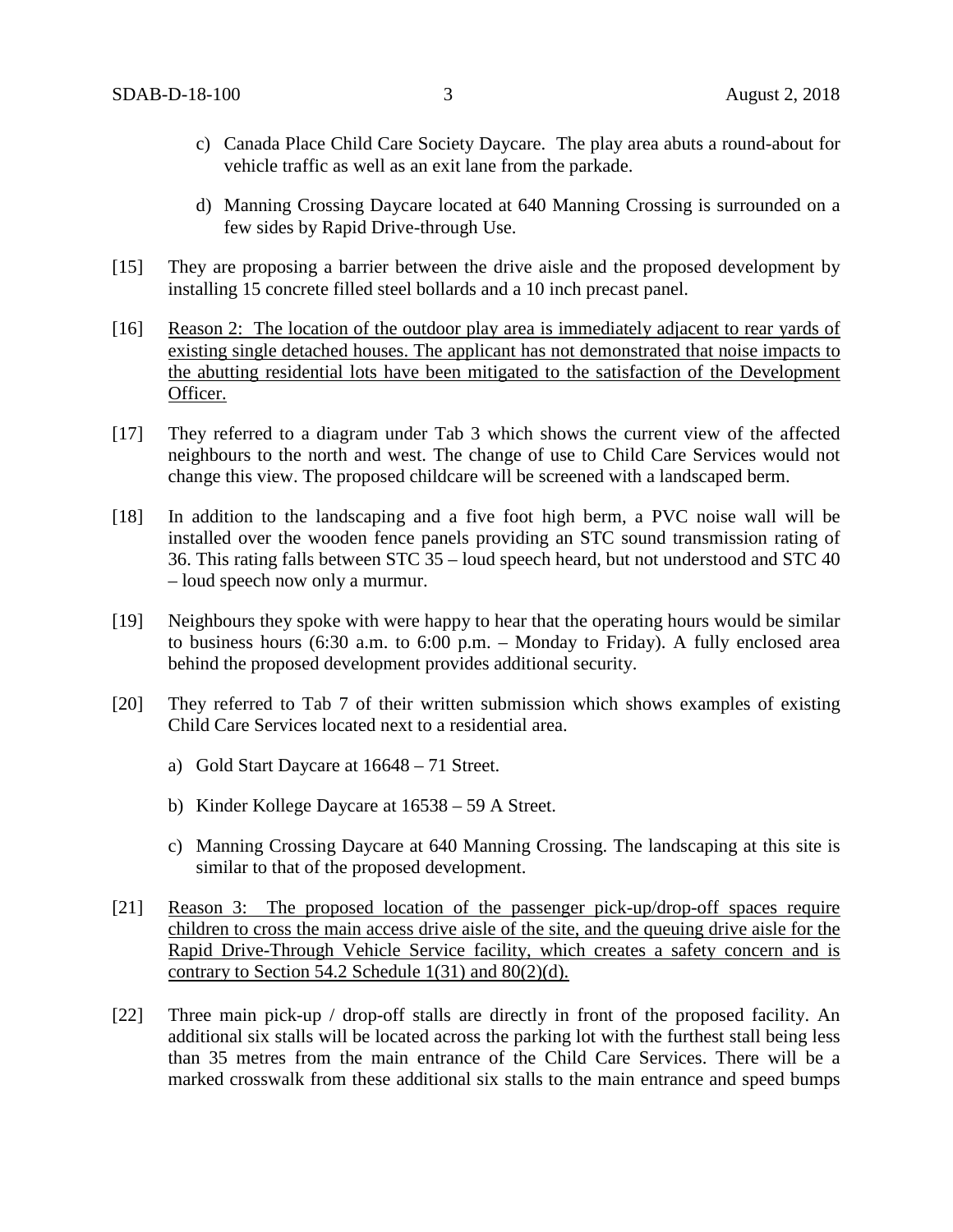- c) Canada Place Child Care Society Daycare. The play area abuts a round-about for vehicle traffic as well as an exit lane from the parkade.
- d) Manning Crossing Daycare located at 640 Manning Crossing is surrounded on a few sides by Rapid Drive-through Use.
- [15] They are proposing a barrier between the drive aisle and the proposed development by installing 15 concrete filled steel bollards and a 10 inch precast panel.
- [16] Reason 2: The location of the outdoor play area is immediately adjacent to rear yards of existing single detached houses. The applicant has not demonstrated that noise impacts to the abutting residential lots have been mitigated to the satisfaction of the Development Officer.
- [17] They referred to a diagram under Tab 3 which shows the current view of the affected neighbours to the north and west. The change of use to Child Care Services would not change this view. The proposed childcare will be screened with a landscaped berm.
- [18] In addition to the landscaping and a five foot high berm, a PVC noise wall will be installed over the wooden fence panels providing an STC sound transmission rating of 36. This rating falls between STC 35 – loud speech heard, but not understood and STC 40 – loud speech now only a murmur.
- [19] Neighbours they spoke with were happy to hear that the operating hours would be similar to business hours (6:30 a.m. to 6:00 p.m. – Monday to Friday). A fully enclosed area behind the proposed development provides additional security.
- [20] They referred to Tab 7 of their written submission which shows examples of existing Child Care Services located next to a residential area.
	- a) Gold Start Daycare at 16648 71 Street.
	- b) Kinder Kollege Daycare at 16538 59 A Street.
	- c) Manning Crossing Daycare at 640 Manning Crossing. The landscaping at this site is similar to that of the proposed development.
- [21] Reason 3: The proposed location of the passenger pick-up/drop-off spaces require children to cross the main access drive aisle of the site, and the queuing drive aisle for the Rapid Drive-Through Vehicle Service facility, which creates a safety concern and is contrary to Section 54.2 Schedule  $1(31)$  and  $80(2)(d)$ .
- [22] Three main pick-up / drop-off stalls are directly in front of the proposed facility. An additional six stalls will be located across the parking lot with the furthest stall being less than 35 metres from the main entrance of the Child Care Services. There will be a marked crosswalk from these additional six stalls to the main entrance and speed bumps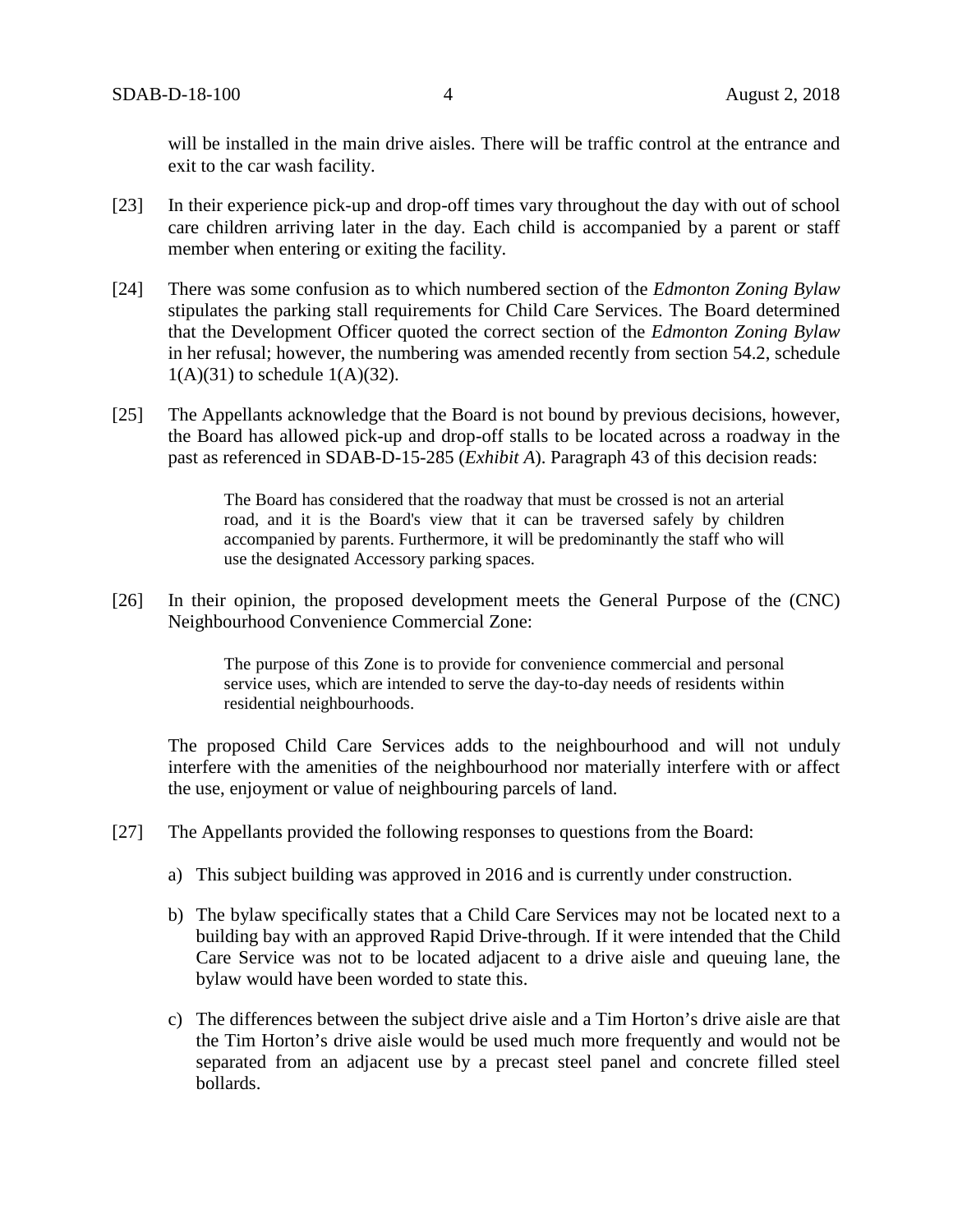will be installed in the main drive aisles. There will be traffic control at the entrance and exit to the car wash facility.

- [23] In their experience pick-up and drop-off times vary throughout the day with out of school care children arriving later in the day. Each child is accompanied by a parent or staff member when entering or exiting the facility.
- [24] There was some confusion as to which numbered section of the *Edmonton Zoning Bylaw* stipulates the parking stall requirements for Child Care Services. The Board determined that the Development Officer quoted the correct section of the *Edmonton Zoning Bylaw*  in her refusal; however, the numbering was amended recently from section 54.2, schedule  $1(A)(31)$  to schedule  $1(A)(32)$ .
- [25] The Appellants acknowledge that the Board is not bound by previous decisions, however, the Board has allowed pick-up and drop-off stalls to be located across a roadway in the past as referenced in SDAB-D-15-285 (*Exhibit A*). Paragraph 43 of this decision reads:

The Board has considered that the roadway that must be crossed is not an arterial road, and it is the Board's view that it can be traversed safely by children accompanied by parents. Furthermore, it will be predominantly the staff who will use the designated Accessory parking spaces.

[26] In their opinion, the proposed development meets the General Purpose of the (CNC) Neighbourhood Convenience Commercial Zone:

> The purpose of this Zone is to provide for convenience commercial and personal service uses, which are intended to serve the day-to-day needs of residents within residential neighbourhoods.

The proposed Child Care Services adds to the neighbourhood and will not unduly interfere with the amenities of the neighbourhood nor materially interfere with or affect the use, enjoyment or value of neighbouring parcels of land.

- [27] The Appellants provided the following responses to questions from the Board:
	- a) This subject building was approved in 2016 and is currently under construction.
	- b) The bylaw specifically states that a Child Care Services may not be located next to a building bay with an approved Rapid Drive-through. If it were intended that the Child Care Service was not to be located adjacent to a drive aisle and queuing lane, the bylaw would have been worded to state this.
	- c) The differences between the subject drive aisle and a Tim Horton's drive aisle are that the Tim Horton's drive aisle would be used much more frequently and would not be separated from an adjacent use by a precast steel panel and concrete filled steel bollards.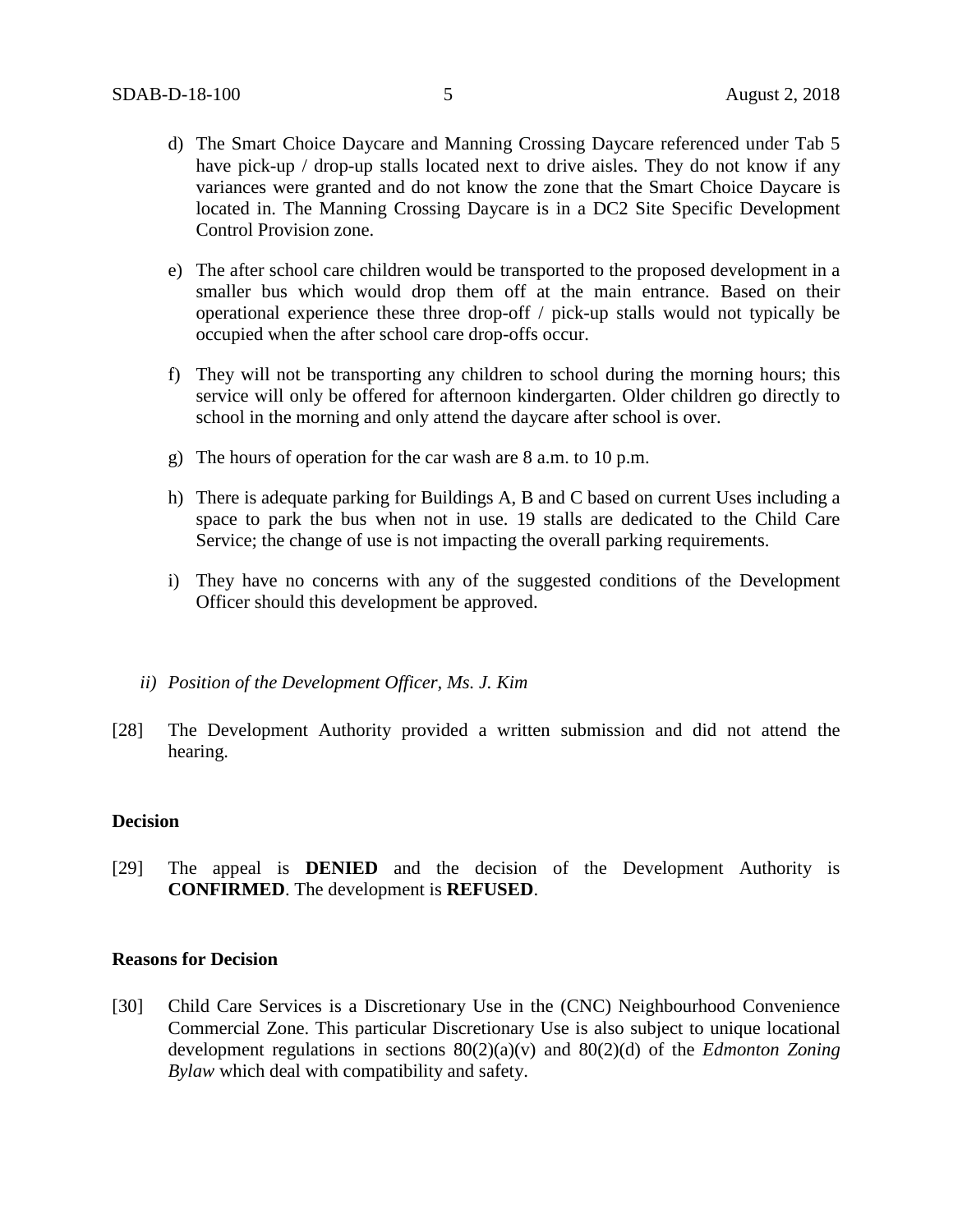- d) The Smart Choice Daycare and Manning Crossing Daycare referenced under Tab 5 have pick-up / drop-up stalls located next to drive aisles. They do not know if any variances were granted and do not know the zone that the Smart Choice Daycare is located in. The Manning Crossing Daycare is in a DC2 Site Specific Development Control Provision zone.
- e) The after school care children would be transported to the proposed development in a smaller bus which would drop them off at the main entrance. Based on their operational experience these three drop-off / pick-up stalls would not typically be occupied when the after school care drop-offs occur.
- f) They will not be transporting any children to school during the morning hours; this service will only be offered for afternoon kindergarten. Older children go directly to school in the morning and only attend the daycare after school is over.
- g) The hours of operation for the car wash are 8 a.m. to 10 p.m.
- h) There is adequate parking for Buildings A, B and C based on current Uses including a space to park the bus when not in use. 19 stalls are dedicated to the Child Care Service; the change of use is not impacting the overall parking requirements.
- i) They have no concerns with any of the suggested conditions of the Development Officer should this development be approved.
- *ii) Position of the Development Officer, Ms. J. Kim*
- [28] The Development Authority provided a written submission and did not attend the hearing.

### **Decision**

[29] The appeal is **DENIED** and the decision of the Development Authority is **CONFIRMED**. The development is **REFUSED**.

### **Reasons for Decision**

[30] Child Care Services is a Discretionary Use in the (CNC) Neighbourhood Convenience Commercial Zone. This particular Discretionary Use is also subject to unique locational development regulations in sections 80(2)(a)(v) and 80(2)(d) of the *Edmonton Zoning Bylaw* which deal with compatibility and safety.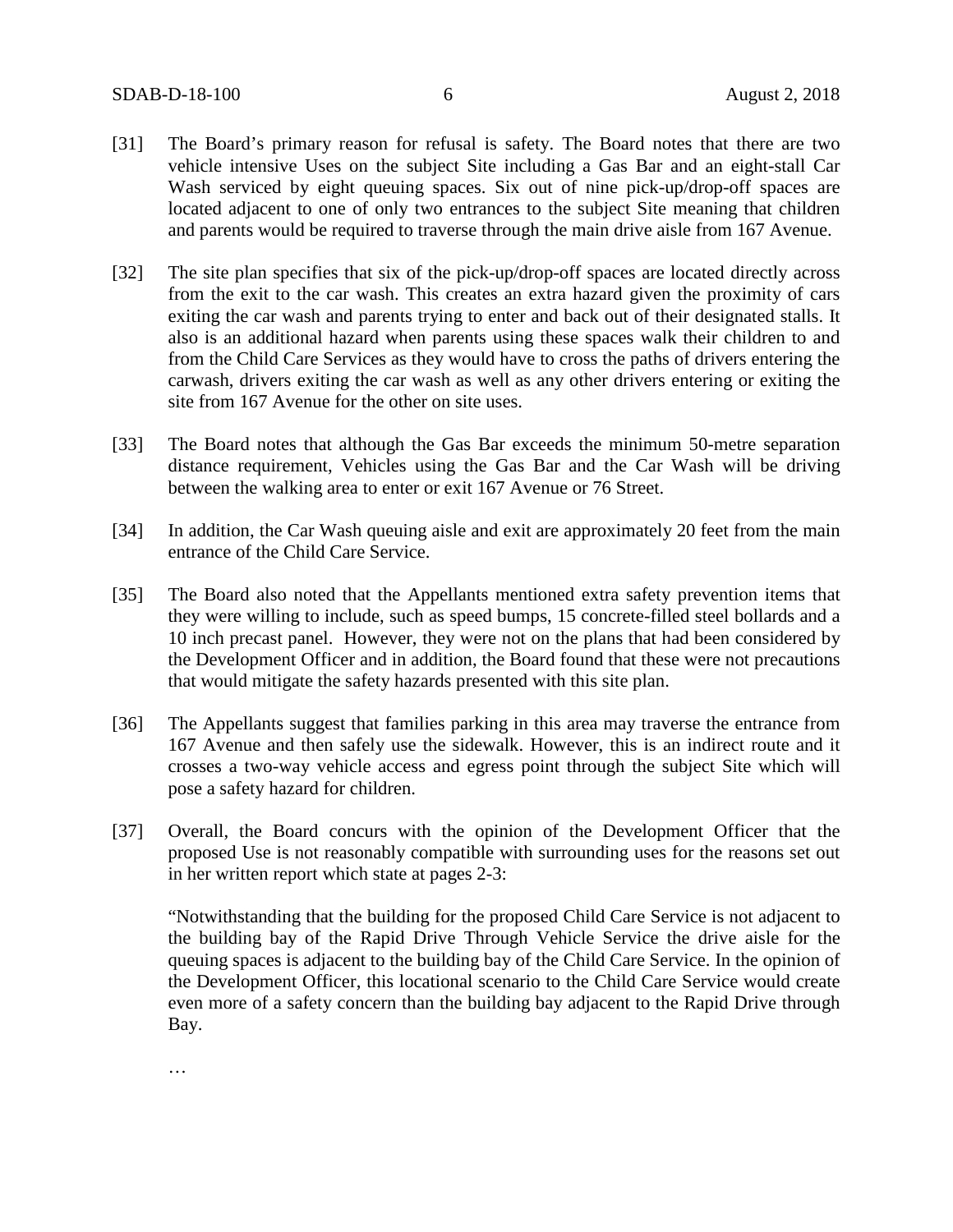- [31] The Board's primary reason for refusal is safety. The Board notes that there are two vehicle intensive Uses on the subject Site including a Gas Bar and an eight-stall Car Wash serviced by eight queuing spaces. Six out of nine pick-up/drop-off spaces are located adjacent to one of only two entrances to the subject Site meaning that children and parents would be required to traverse through the main drive aisle from 167 Avenue.
- [32] The site plan specifies that six of the pick-up/drop-off spaces are located directly across from the exit to the car wash. This creates an extra hazard given the proximity of cars exiting the car wash and parents trying to enter and back out of their designated stalls. It also is an additional hazard when parents using these spaces walk their children to and from the Child Care Services as they would have to cross the paths of drivers entering the carwash, drivers exiting the car wash as well as any other drivers entering or exiting the site from 167 Avenue for the other on site uses.
- [33] The Board notes that although the Gas Bar exceeds the minimum 50-metre separation distance requirement, Vehicles using the Gas Bar and the Car Wash will be driving between the walking area to enter or exit 167 Avenue or 76 Street.
- [34] In addition, the Car Wash queuing aisle and exit are approximately 20 feet from the main entrance of the Child Care Service.
- [35] The Board also noted that the Appellants mentioned extra safety prevention items that they were willing to include, such as speed bumps, 15 concrete-filled steel bollards and a 10 inch precast panel. However, they were not on the plans that had been considered by the Development Officer and in addition, the Board found that these were not precautions that would mitigate the safety hazards presented with this site plan.
- [36] The Appellants suggest that families parking in this area may traverse the entrance from 167 Avenue and then safely use the sidewalk. However, this is an indirect route and it crosses a two-way vehicle access and egress point through the subject Site which will pose a safety hazard for children.
- [37] Overall, the Board concurs with the opinion of the Development Officer that the proposed Use is not reasonably compatible with surrounding uses for the reasons set out in her written report which state at pages 2-3:

"Notwithstanding that the building for the proposed Child Care Service is not adjacent to the building bay of the Rapid Drive Through Vehicle Service the drive aisle for the queuing spaces is adjacent to the building bay of the Child Care Service. In the opinion of the Development Officer, this locational scenario to the Child Care Service would create even more of a safety concern than the building bay adjacent to the Rapid Drive through Bay.

…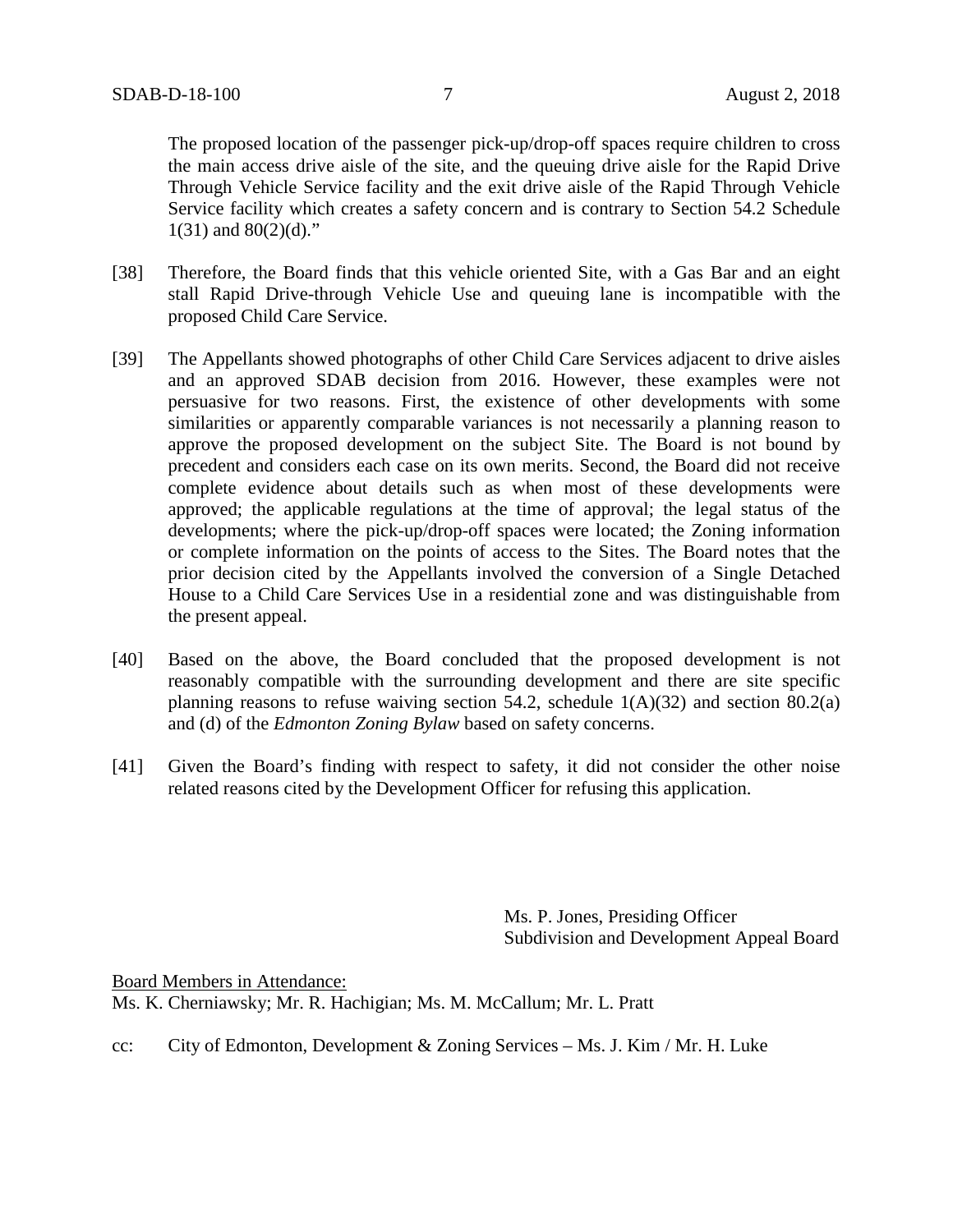The proposed location of the passenger pick-up/drop-off spaces require children to cross the main access drive aisle of the site, and the queuing drive aisle for the Rapid Drive Through Vehicle Service facility and the exit drive aisle of the Rapid Through Vehicle Service facility which creates a safety concern and is contrary to Section 54.2 Schedule  $1(31)$  and  $80(2)(d)$ ."

- [38] Therefore, the Board finds that this vehicle oriented Site, with a Gas Bar and an eight stall Rapid Drive-through Vehicle Use and queuing lane is incompatible with the proposed Child Care Service.
- [39] The Appellants showed photographs of other Child Care Services adjacent to drive aisles and an approved SDAB decision from 2016. However, these examples were not persuasive for two reasons. First, the existence of other developments with some similarities or apparently comparable variances is not necessarily a planning reason to approve the proposed development on the subject Site. The Board is not bound by precedent and considers each case on its own merits. Second, the Board did not receive complete evidence about details such as when most of these developments were approved; the applicable regulations at the time of approval; the legal status of the developments; where the pick-up/drop-off spaces were located; the Zoning information or complete information on the points of access to the Sites. The Board notes that the prior decision cited by the Appellants involved the conversion of a Single Detached House to a Child Care Services Use in a residential zone and was distinguishable from the present appeal.
- [40] Based on the above, the Board concluded that the proposed development is not reasonably compatible with the surrounding development and there are site specific planning reasons to refuse waiving section 54.2, schedule  $1(A)(32)$  and section 80.2(a) and (d) of the *Edmonton Zoning Bylaw* based on safety concerns.
- [41] Given the Board's finding with respect to safety, it did not consider the other noise related reasons cited by the Development Officer for refusing this application.

Ms. P. Jones, Presiding Officer Subdivision and Development Appeal Board

Board Members in Attendance: Ms. K. Cherniawsky; Mr. R. Hachigian; Ms. M. McCallum; Mr. L. Pratt

cc: City of Edmonton, Development & Zoning Services – Ms. J. Kim / Mr. H. Luke